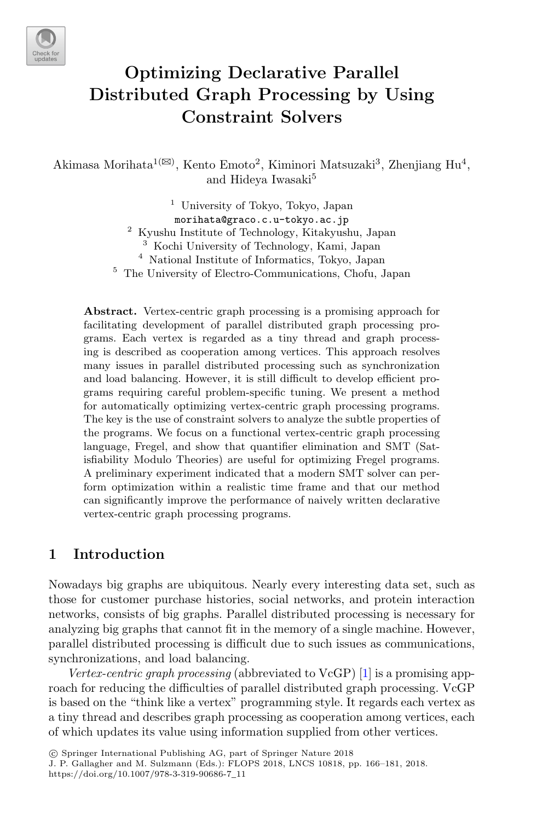

# **Optimizing Declarative Parallel Distributed Graph Processing by Using Constraint Solvers**

Akimasa Morihata<sup>1( $\boxtimes$ )</sup>, Kento Emoto<sup>2</sup>, Kiminori Matsuzaki<sup>3</sup>, Zhenjiang Hu<sup>4</sup>, and Hideya Iwasaki<sup>5</sup>

> University of Tokyo, Tokyo, Japan morihata@graco.c.u-tokyo.ac.jp Kyushu Institute of Technology, Kitakyushu, Japan <sup>3</sup> Kochi University of Technology, Kami, Japan National Institute of Informatics, Tokyo, Japan The University of Electro-Communications, Chofu, Japan

**Abstract.** Vertex-centric graph processing is a promising approach for facilitating development of parallel distributed graph processing programs. Each vertex is regarded as a tiny thread and graph processing is described as cooperation among vertices. This approach resolves many issues in parallel distributed processing such as synchronization and load balancing. However, it is still difficult to develop efficient programs requiring careful problem-specific tuning. We present a method for automatically optimizing vertex-centric graph processing programs. The key is the use of constraint solvers to analyze the subtle properties of the programs. We focus on a functional vertex-centric graph processing language, Fregel, and show that quantifier elimination and SMT (Satisfiability Modulo Theories) are useful for optimizing Fregel programs. A preliminary experiment indicated that a modern SMT solver can perform optimization within a realistic time frame and that our method can significantly improve the performance of naively written declarative vertex-centric graph processing programs.

# **1 Introduction**

Nowadays big graphs are ubiquitous. Nearly every interesting data set, such as those for customer purchase histories, social networks, and protein interaction networks, consists of big graphs. Parallel distributed processing is necessary for analyzing big graphs that cannot fit in the memory of a single machine. However, parallel distributed processing is difficult due to such issues as communications, synchronizations, and load balancing.

*Vertex-centric graph processing* (abbreviated to VcGP) [\[1\]](#page-13-0) is a promising approach for reducing the difficulties of parallel distributed graph processing. VcGP is based on the "think like a vertex" programming style. It regards each vertex as a tiny thread and describes graph processing as cooperation among vertices, each of which updates its value using information supplied from other vertices.

-c Springer International Publishing AG, part of Springer Nature 2018

J. P. Gallagher and M. Sulzmann (Eds.): FLOPS 2018, LNCS 10818, pp. 166–181, 2018. https://doi.org/10.1007/978-3-319-90686-7\_11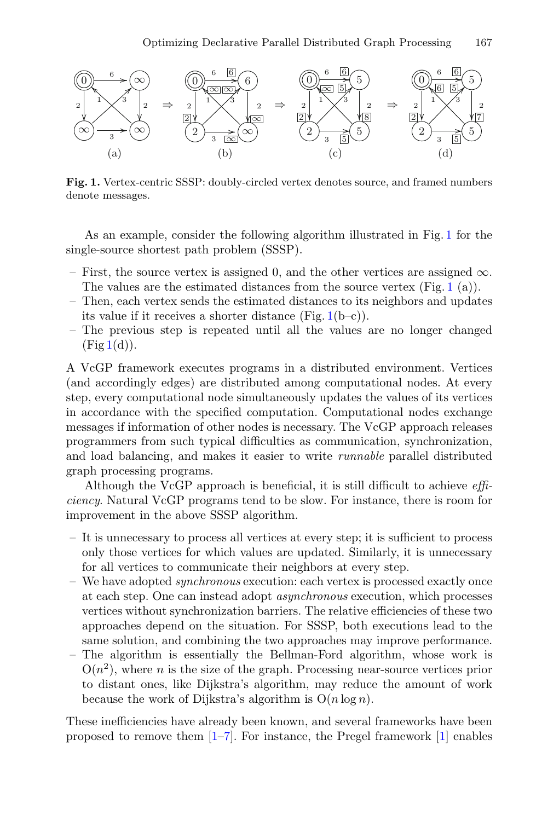

<span id="page-1-0"></span>**Fig. 1.** Vertex-centric SSSP: doubly-circled vertex denotes source, and framed numbers denote messages.

As an example, consider the following algorithm illustrated in Fig. [1](#page-1-0) for the single-source shortest path problem (SSSP).

- First, the source vertex is assigned 0, and the other vertices are assigned  $\infty$ . The values are the estimated distances from the source vertex  $(Fig. 1(a))$  $(Fig. 1(a))$  $(Fig. 1(a))$ .
- Then, each vertex sends the estimated distances to its neighbors and updates its value if it receives a shorter distance (Fig. [1\(](#page-1-0)b–c)).
- The previous step is repeated until all the values are no longer changed  $(Fig 1(d)).$  $(Fig 1(d)).$  $(Fig 1(d)).$

A VcGP framework executes programs in a distributed environment. Vertices (and accordingly edges) are distributed among computational nodes. At every step, every computational node simultaneously updates the values of its vertices in accordance with the specified computation. Computational nodes exchange messages if information of other nodes is necessary. The VcGP approach releases programmers from such typical difficulties as communication, synchronization, and load balancing, and makes it easier to write *runnable* parallel distributed graph processing programs.

Although the VcGP approach is beneficial, it is still difficult to achieve *efficiency*. Natural VcGP programs tend to be slow. For instance, there is room for improvement in the above SSSP algorithm.

- It is unnecessary to process all vertices at every step; it is sufficient to process only those vertices for which values are updated. Similarly, it is unnecessary for all vertices to communicate their neighbors at every step.
- We have adopted *synchronous* execution: each vertex is processed exactly once at each step. One can instead adopt *asynchronous* execution, which processes vertices without synchronization barriers. The relative efficiencies of these two approaches depend on the situation. For SSSP, both executions lead to the same solution, and combining the two approaches may improve performance.
- The algorithm is essentially the Bellman-Ford algorithm, whose work is  $O(n^2)$ , where *n* is the size of the graph. Processing near-source vertices prior to distant ones, like Dijkstra's algorithm, may reduce the amount of work because the work of Dijkstra's algorithm is  $O(n \log n)$ .

These inefficiencies have already been known, and several frameworks have been proposed to remove them  $[1-7]$  $[1-7]$ . For instance, the Pregel framework  $[1]$  enables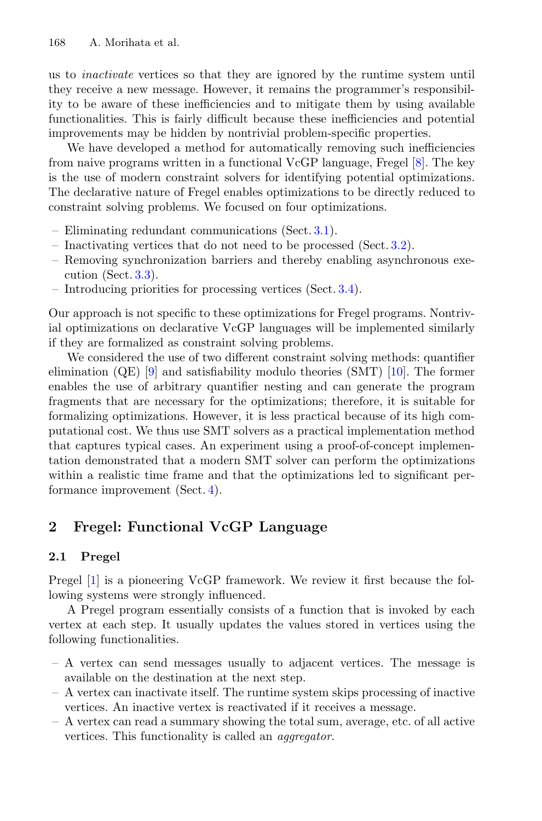us to *inactivate* vertices so that they are ignored by the runtime system until they receive a new message. However, it remains the programmer's responsibility to be aware of these inefficiencies and to mitigate them by using available functionalities. This is fairly difficult because these inefficiencies and potential improvements may be hidden by nontrivial problem-specific properties.

We have developed a method for automatically removing such inefficiencies from naive programs written in a functional VcGP language, Fregel [\[8\]](#page-14-1). The key is the use of modern constraint solvers for identifying potential optimizations. The declarative nature of Fregel enables optimizations to be directly reduced to constraint solving problems. We focused on four optimizations.

- Eliminating redundant communications (Sect. [3.1\)](#page-4-0).
- Inactivating vertices that do not need to be processed (Sect. [3.2\)](#page-6-0).
- Removing synchronization barriers and thereby enabling asynchronous execution (Sect. [3.3\)](#page-7-0).
- Introducing priorities for processing vertices (Sect. [3.4\)](#page-8-0).

Our approach is not specific to these optimizations for Fregel programs. Nontrivial optimizations on declarative VcGP languages will be implemented similarly if they are formalized as constraint solving problems.

We considered the use of two different constraint solving methods: quantifier elimination (QE) [\[9](#page-14-2)] and satisfiability modulo theories (SMT) [\[10\]](#page-14-3). The former enables the use of arbitrary quantifier nesting and can generate the program fragments that are necessary for the optimizations; therefore, it is suitable for formalizing optimizations. However, it is less practical because of its high computational cost. We thus use SMT solvers as a practical implementation method that captures typical cases. An experiment using a proof-of-concept implementation demonstrated that a modern SMT solver can perform the optimizations within a realistic time frame and that the optimizations led to significant performance improvement (Sect. [4\)](#page-10-0).

# **2 Fregel: Functional VcGP Language**

#### **2.1 Pregel**

Pregel [\[1](#page-13-0)] is a pioneering VcGP framework. We review it first because the following systems were strongly influenced.

A Pregel program essentially consists of a function that is invoked by each vertex at each step. It usually updates the values stored in vertices using the following functionalities.

- A vertex can send messages usually to adjacent vertices. The message is available on the destination at the next step.
- A vertex can inactivate itself. The runtime system skips processing of inactive vertices. An inactive vertex is reactivated if it receives a message.
- A vertex can read a summary showing the total sum, average, etc. of all active vertices. This functionality is called an *aggregator*.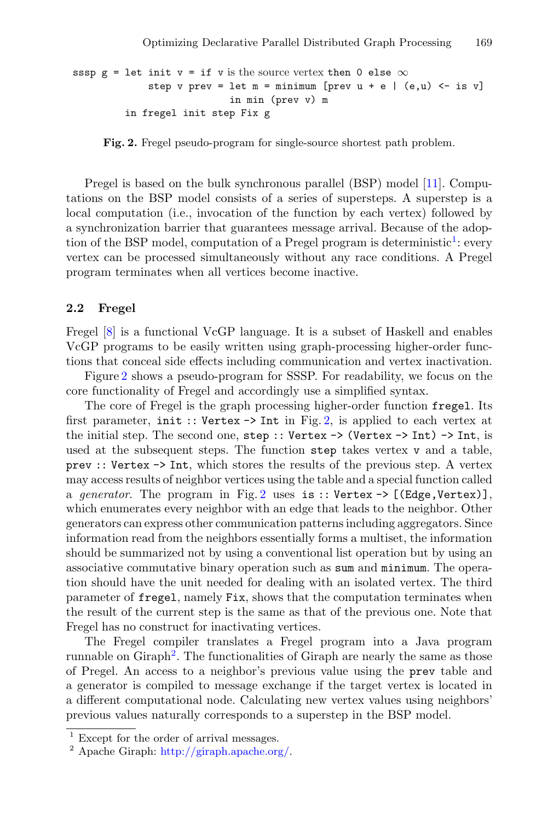```
sssp g = let init v = if v is the source vertex then 0 else \inftystep v prev = let m = minimum [prev u + e | (e,u) \le is v]
                   in min (prev v) m
in fregel init step Fix g
```
<span id="page-3-1"></span>**Fig. 2.** Fregel pseudo-program for single-source shortest path problem.

Pregel is based on the bulk synchronous parallel (BSP) model [\[11\]](#page-14-4). Computations on the BSP model consists of a series of supersteps. A superstep is a local computation (i.e., invocation of the function by each vertex) followed by a synchronization barrier that guarantees message arrival. Because of the adop-tion of the BSP model, computation of a Pregel program is deterministic<sup>[1](#page-3-0)</sup>: every vertex can be processed simultaneously without any race conditions. A Pregel program terminates when all vertices become inactive.

#### **2.2 Fregel**

Fregel [\[8](#page-14-1)] is a functional VcGP language. It is a subset of Haskell and enables VcGP programs to be easily written using graph-processing higher-order functions that conceal side effects including communication and vertex inactivation.

Figure [2](#page-3-1) shows a pseudo-program for SSSP. For readability, we focus on the core functionality of Fregel and accordingly use a simplified syntax.

The core of Fregel is the graph processing higher-order function fregel. Its first parameter, init :: Vertex  $\rightarrow$  Int in Fig. [2,](#page-3-1) is applied to each vertex at the initial step. The second one, step :: Vertex -> (Vertex -> Int) -> Int, is used at the subsequent steps. The function step takes vertex v and a table, prev :: Vertex -> Int, which stores the results of the previous step. A vertex may access results of neighbor vertices using the table and a special function called a *generator*. The program in Fig. [2](#page-3-1) uses is :: Vertex -> [(Edge, Vertex)], which enumerates every neighbor with an edge that leads to the neighbor. Other generators can express other communication patterns including aggregators. Since information read from the neighbors essentially forms a multiset, the information should be summarized not by using a conventional list operation but by using an associative commutative binary operation such as sum and minimum. The operation should have the unit needed for dealing with an isolated vertex. The third parameter of fregel, namely Fix, shows that the computation terminates when the result of the current step is the same as that of the previous one. Note that Fregel has no construct for inactivating vertices.

The Fregel compiler translates a Fregel program into a Java program runnable on Giraph<sup>[2](#page-3-2)</sup>. The functionalities of Giraph are nearly the same as those of Pregel. An access to a neighbor's previous value using the prev table and a generator is compiled to message exchange if the target vertex is located in a different computational node. Calculating new vertex values using neighbors' previous values naturally corresponds to a superstep in the BSP model.

 $1$  Except for the order of arrival messages.

<span id="page-3-2"></span><span id="page-3-0"></span><sup>2</sup> Apache Giraph: [http://giraph.apache.org/.](http://giraph.apache.org/)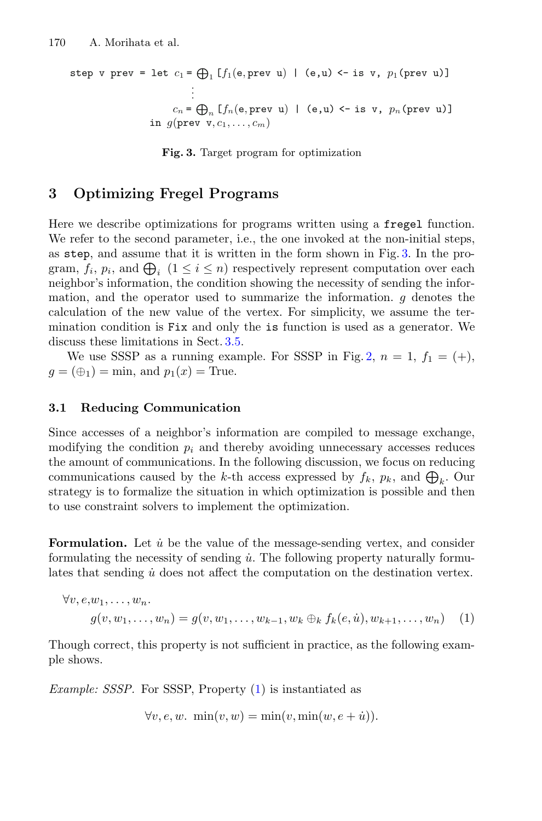step v prev = let 
$$
c_1 = \bigoplus_1 [f_1(e, prev u) | (e, u) \leftarrow is v, p_1(prev u)]
$$
  
\n:  
\n:  
\n $c_n = \bigoplus_n [f_n(e, prev u) | (e, u) \leftarrow is v, p_n(prev u)]$   
\n $in g(prev v, c_1, ..., c_m)$ 

<span id="page-4-1"></span>**Fig. 3.** Target program for optimization

# **3 Optimizing Fregel Programs**

Here we describe optimizations for programs written using a fregel function. We refer to the second parameter, i.e., the one invoked at the non-initial steps, as step, and assume that it is written in the form shown in Fig. [3.](#page-4-1) In the program,  $f_i$ ,  $p_i$ , and  $\bigoplus_i (1 \leq i \leq n)$  respectively represent computation over each neighbor's information, the condition showing the necessity of sending the information, and the operator used to summarize the information.  $q$  denotes the calculation of the new value of the vertex. For simplicity, we assume the termination condition is Fix and only the is function is used as a generator. We discuss these limitations in Sect. [3.5.](#page-9-0)

We use SSSP as a running example. For SSSP in Fig. [2,](#page-3-1)  $n = 1$ ,  $f_1 = (+)$ ,  $g = (\bigoplus_1) = \min$ , and  $p_1(x) = \text{True}$ .

#### <span id="page-4-0"></span>**3.1 Reducing Communication**

Since accesses of a neighbor's information are compiled to message exchange, modifying the condition  $p_i$  and thereby avoiding unnecessary accesses reduces the amount of communications. In the following discussion, we focus on reducing communications caused by the k-th access expressed by  $f_k$ ,  $p_k$ , and  $\bigoplus_k$ . Our strategy is to formalize the situation in which optimization is possible and then to use constraint solvers to implement the optimization.

**Formulation.** Let  $\dot{u}$  be the value of the message-sending vertex, and consider formulating the necessity of sending  $\dot{u}$ . The following property naturally formulates that sending  $\dot{u}$  does not affect the computation on the destination vertex.

$$
\forall v, e, w_1, \dots, w_n.
$$
  
 
$$
g(v, w_1, \dots, w_n) = g(v, w_1, \dots, w_{k-1}, w_k \oplus_k f_k(e, \dot{u}), w_{k+1}, \dots, w_n)
$$
 (1)

Though correct, this property is not sufficient in practice, as the following example shows.

*Example: SSSP.* For SSSP, Property [\(1\)](#page-4-2) is instantiated as

<span id="page-4-2"></span>
$$
\forall v, e, w. \ \min(v, w) = \min(v, \min(w, e + u)).
$$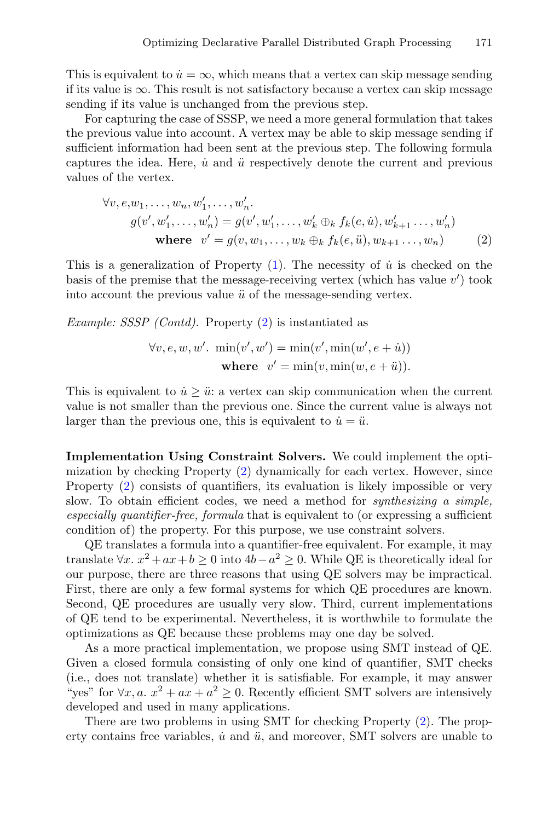This is equivalent to  $\dot{u} = \infty$ , which means that a vertex can skip message sending if its value is  $\infty$ . This result is not satisfactory because a vertex can skip message sending if its value is unchanged from the previous step.

For capturing the case of SSSP, we need a more general formulation that takes the previous value into account. A vertex may be able to skip message sending if sufficient information had been sent at the previous step. The following formula captures the idea. Here,  $\dot{u}$  and  $\ddot{u}$  respectively denote the current and previous values of the vertex.

$$
\forall v, e, w_1, \dots, w_n, w'_1, \dots, w'_n.
$$
  
\n
$$
g(v', w'_1, \dots, w'_n) = g(v', w'_1, \dots, w'_k \oplus_k f_k(e, \dot{u}), w'_{k+1} \dots, w'_n)
$$
  
\nwhere  $v' = g(v, w_1, \dots, w_k \oplus_k f_k(e, \ddot{u}), w_{k+1} \dots, w_n)$  (2)

This is a generalization of Property  $(1)$ . The necessity of  $\dot{u}$  is checked on the basis of the premise that the message-receiving vertex (which has value  $v'$ ) took into account the previous value  $\ddot{u}$  of the message-sending vertex.

*Example: SSSP (Contd).* Property [\(2\)](#page-5-0) is instantiated as

<span id="page-5-0"></span>
$$
\forall v, e, w, w'. \min(v', w') = \min(v', \min(w', e + \dot{u}))
$$
  
where  $v' = \min(v, \min(w, e + \ddot{u})).$ 

This is equivalent to  $\dot{u} \geq \ddot{u}$ : a vertex can skip communication when the current value is not smaller than the previous one. Since the current value is always not larger than the previous one, this is equivalent to  $\dot{u} = \ddot{u}$ .

**Implementation Using Constraint Solvers.** We could implement the optimization by checking Property [\(2\)](#page-5-0) dynamically for each vertex. However, since Property  $(2)$  consists of quantifiers, its evaluation is likely impossible or very slow. To obtain efficient codes, we need a method for *synthesizing a simple, especially quantifier-free, formula* that is equivalent to (or expressing a sufficient condition of) the property. For this purpose, we use constraint solvers.

QE translates a formula into a quantifier-free equivalent. For example, it may translate  $\forall x. x^2 + ax + b \ge 0$  into  $4b - a^2 \ge 0$ . While QE is theoretically ideal for our purpose, there are three reasons that using QE solvers may be impractical. First, there are only a few formal systems for which QE procedures are known. Second, QE procedures are usually very slow. Third, current implementations of QE tend to be experimental. Nevertheless, it is worthwhile to formulate the optimizations as QE because these problems may one day be solved.

As a more practical implementation, we propose using SMT instead of QE. Given a closed formula consisting of only one kind of quantifier, SMT checks (i.e., does not translate) whether it is satisfiable. For example, it may answer "yes" for  $\forall x, a$ .  $x^2 + ax + a^2 \geq 0$ . Recently efficient SMT solvers are intensively developed and used in many applications.

There are two problems in using SMT for checking Property [\(2\)](#page-5-0). The property contains free variables,  $\dot{u}$  and  $\ddot{u}$ , and moreover, SMT solvers are unable to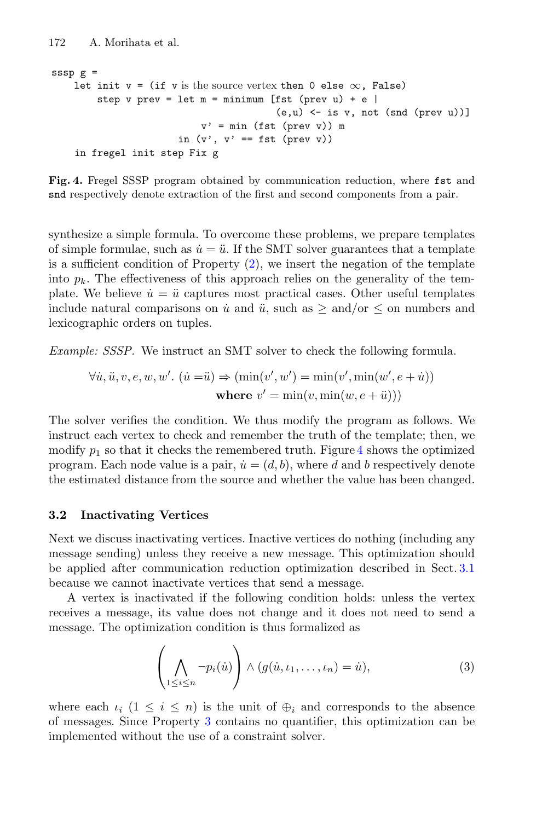```
sssp g =let init v = (if \nvert v \nvert) is the source vertex then 0 else \infty. False)
step v prev = let m = minimum [fst (prev u) + e |
                                    (e, u) \leq -is \ v, not (snd (prev u))]
                     v' = min (fst (prev v)) m
                in (v', v') == \text{fst (prev v)}in fregel init step Fix g
```
<span id="page-6-1"></span>**Fig. 4.** Fregel SSSP program obtained by communication reduction, where fst and snd respectively denote extraction of the first and second components from a pair.

synthesize a simple formula. To overcome these problems, we prepare templates of simple formulae, such as  $\dot{u} = \ddot{u}$ . If the SMT solver guarantees that a template is a sufficient condition of Property  $(2)$ , we insert the negation of the template into  $p_k$ . The effectiveness of this approach relies on the generality of the template. We believe  $\dot{u} = \ddot{u}$  captures most practical cases. Other useful templates include natural comparisons on  $\dot{u}$  and  $\ddot{u}$ , such as  $\geq$  and/or  $\leq$  on numbers and lexicographic orders on tuples.

*Example: SSSP.* We instruct an SMT solver to check the following formula.

$$
\forall \dot{u}, \ddot{u}, v, e, w, w'. \ (\dot{u} = \ddot{u}) \Rightarrow (\min(v', w') = \min(v', \min(w', e + \dot{u}))
$$
\n
$$
\text{where } v' = \min(v, \min(w, e + \ddot{u})))
$$

The solver verifies the condition. We thus modify the program as follows. We instruct each vertex to check and remember the truth of the template; then, we modify  $p_1$  so that it checks the remembered truth. Figure [4](#page-6-1) shows the optimized program. Each node value is a pair,  $\dot{u} = (d, b)$ , where d and b respectively denote the estimated distance from the source and whether the value has been changed.

#### <span id="page-6-0"></span>**3.2 Inactivating Vertices**

Next we discuss inactivating vertices. Inactive vertices do nothing (including any message sending) unless they receive a new message. This optimization should be applied after communication reduction optimization described in Sect. [3.1](#page-4-0) because we cannot inactivate vertices that send a message.

A vertex is inactivated if the following condition holds: unless the vertex receives a message, its value does not change and it does not need to send a message. The optimization condition is thus formalized as

<span id="page-6-2"></span>
$$
\left(\bigwedge_{1\leq i\leq n}\neg p_i(\dot{u})\right)\wedge\left(g(\dot{u},\iota_1,\ldots,\iota_n)=\dot{u}\right),\tag{3}
$$

where each  $\iota_i$  (1  $\leq i \leq n$ ) is the unit of  $\bigoplus_i$  and corresponds to the absence of messages. Since Property [3](#page-6-2) contains no quantifier, this optimization can be implemented without the use of a constraint solver.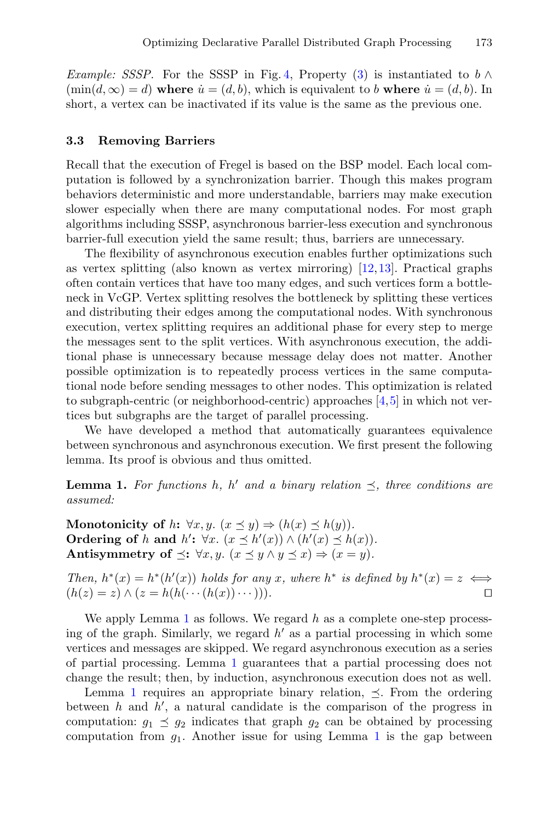*Example: SSSP.* For the SSSP in Fig. [4,](#page-6-1) Property  $(3)$  is instantiated to  $b \wedge$  $(\min(d,\infty) = d)$  where  $\dot{u} = (d, b)$ , which is equivalent to b where  $\dot{u} = (d, b)$ . In short, a vertex can be inactivated if its value is the same as the previous one.

#### <span id="page-7-0"></span>**3.3 Removing Barriers**

Recall that the execution of Fregel is based on the BSP model. Each local computation is followed by a synchronization barrier. Though this makes program behaviors deterministic and more understandable, barriers may make execution slower especially when there are many computational nodes. For most graph algorithms including SSSP, asynchronous barrier-less execution and synchronous barrier-full execution yield the same result; thus, barriers are unnecessary.

The flexibility of asynchronous execution enables further optimizations such as vertex splitting (also known as vertex mirroring) [\[12](#page-14-5)[,13](#page-14-6)]. Practical graphs often contain vertices that have too many edges, and such vertices form a bottleneck in VcGP. Vertex splitting resolves the bottleneck by splitting these vertices and distributing their edges among the computational nodes. With synchronous execution, vertex splitting requires an additional phase for every step to merge the messages sent to the split vertices. With asynchronous execution, the additional phase is unnecessary because message delay does not matter. Another possible optimization is to repeatedly process vertices in the same computational node before sending messages to other nodes. This optimization is related to subgraph-centric (or neighborhood-centric) approaches [\[4](#page-13-1)[,5](#page-13-2)] in which not vertices but subgraphs are the target of parallel processing.

We have developed a method that automatically guarantees equivalence between synchronous and asynchronous execution. We first present the following lemma. Its proof is obvious and thus omitted.

<span id="page-7-1"></span>**Lemma 1.** For functions h, h' and a binary relation  $\prec$ , three conditions are *assumed:*

**Monotonicity of**  $h: \forall x, y \in (x \leq y) \Rightarrow (h(x) \leq h(y)).$ **Ordering of** h **and**  $h'$ :  $\forall x \cdot (x \leq h'(x)) \land (h'(x) \leq h(x))$ . Antisymmetry of  $\preceq$ :  $\forall x, y$ .  $(x \preceq y \land y \preceq x) \Rightarrow (x = y)$ *.* 

*Then,*  $h^*(x) = h^*(h'(x))$  *holds for any* x*, where*  $h^*$  *is defined by*  $h^*(x) = z \iff$  $(h(z) = z) \wedge (z = h(h(\cdots(h(x))\cdots))).$ 

We apply Lemma [1](#page-7-1) as follows. We regard  $h$  as a complete one-step processing of the graph. Similarly, we regard  $h'$  as a partial processing in which some vertices and messages are skipped. We regard asynchronous execution as a series of partial processing. Lemma [1](#page-7-1) guarantees that a partial processing does not change the result; then, by induction, asynchronous execution does not as well.

Lemma [1](#page-7-1) requires an appropriate binary relation,  $\preceq$ . From the ordering between  $h$  and  $h'$ , a natural candidate is the comparison of the progress in computation:  $g_1 \preceq g_2$  indicates that graph  $g_2$  can be obtained by processing computation from  $g_1$  $g_1$ . Another issue for using Lemma 1 is the gap between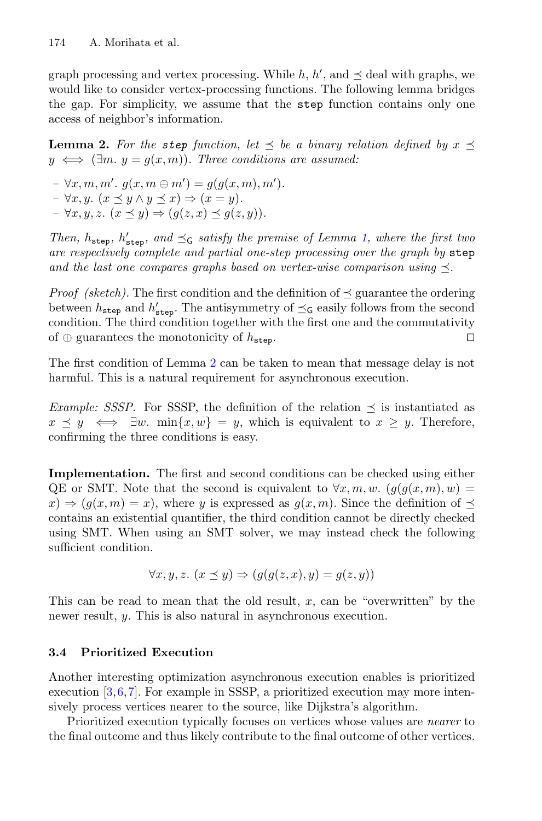graph processing and vertex processing. While  $h, h',$  and  $\preceq$  deal with graphs, we would like to consider vertex-processing functions. The following lemma bridges the gap. For simplicity, we assume that the step function contains only one access of neighbor's information.

<span id="page-8-1"></span>**Lemma 2.** For the step function, let  $\prec$  be a binary relation defined by  $x \prec$  $y \iff (\exists m. y = g(x, m))$ . Three conditions are assumed:

 $- \forall x, m, m'. g(x, m \oplus m') = g(g(x, m), m').$  $-\forall x, y \in (x \prec y \land y \prec x) \Rightarrow (x = y).$  $-\forall x, y, z.$   $(x \preceq y) \Rightarrow (g(z, x) \preceq g(z, y)).$ 

*Then,*  $h_{\text{step}}$ ,  $h'_{\text{step}}$ , and  $\leq$  *c satisfy the premise of Lemma [1,](#page-7-1) where the first two are respectively complete and partial one-step processing over the graph by* step *and the last one compares graphs based on vertex-wise comparison using*  $\leq$ .

*Proof (sketch)*. The first condition and the definition of  $\preceq$  guarantee the ordering between  $h_{\text{step}}$  and  $h'_{\text{step}}$ . The antisymmetry of  $\leq_{\mathsf{G}}$  easily follows from the second condition. The third condition together with the first one and the commutativity of  $\oplus$  guarantees the monotonicity of  $h_{\text{sten}}$ .

The first condition of Lemma [2](#page-8-1) can be taken to mean that message delay is not harmful. This is a natural requirement for asynchronous execution.

*Example: SSSP.* For SSSP, the definition of the relation  $\preceq$  is instantiated as  $x \preceq y \iff \exists w \text{. } \min\{x, w\} = y$ , which is equivalent to  $x \geq y$ . Therefore, confirming the three conditions is easy.

**Implementation.** The first and second conditions can be checked using either QE or SMT. Note that the second is equivalent to  $\forall x, m, w$ .  $(q(q(x, m), w))$  $(x, x) \Rightarrow (g(x, m) = x)$ , where y is expressed as  $g(x, m)$ . Since the definition of  $\preceq$ contains an existential quantifier, the third condition cannot be directly checked using SMT. When using an SMT solver, we may instead check the following sufficient condition.

$$
\forall x,y,z.~(x\preceq y)\Rightarrow (g(g(z,x),y)=g(z,y))
$$

This can be read to mean that the old result,  $x$ , can be "overwritten" by the newer result, y. This is also natural in asynchronous execution.

#### <span id="page-8-0"></span>**3.4 Prioritized Execution**

Another interesting optimization asynchronous execution enables is prioritized execution [\[3](#page-13-3)[,6](#page-14-7),[7\]](#page-14-0). For example in SSSP, a prioritized execution may more intensively process vertices nearer to the source, like Dijkstra's algorithm.

Prioritized execution typically focuses on vertices whose values are *nearer* to the final outcome and thus likely contribute to the final outcome of other vertices.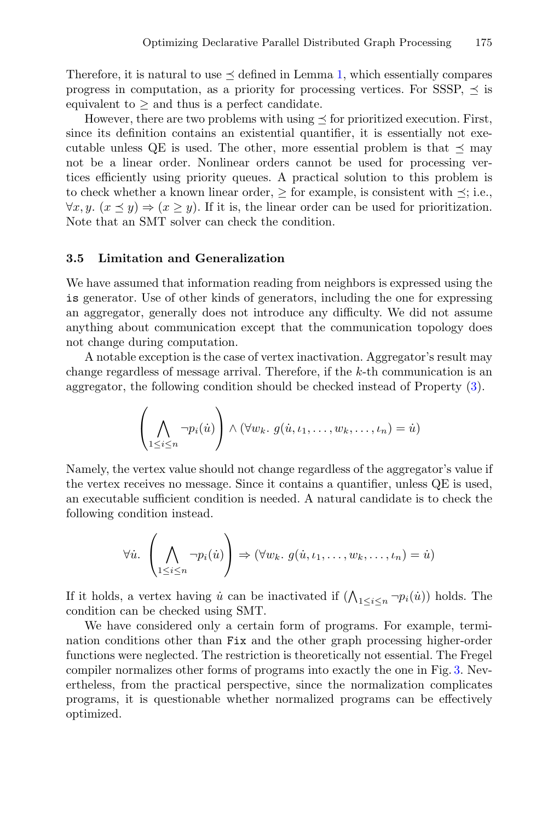Therefore, it is natural to use  $\preceq$  defined in Lemma [1,](#page-7-1) which essentially compares progress in computation, as a priority for processing vertices. For SSSP,  $\prec$  is equivalent to  $\geq$  and thus is a perfect candidate.

However, there are two problems with using  $\prec$  for prioritized execution. First, since its definition contains an existential quantifier, it is essentially not executable unless QE is used. The other, more essential problem is that  $\prec$  may not be a linear order. Nonlinear orders cannot be used for processing vertices efficiently using priority queues. A practical solution to this problem is to check whether a known linear order,  $>$  for example, is consistent with  $\prec$ ; i.e.,  $\forall x, y \ (x \leq y) \Rightarrow (x \geq y)$ . If it is, the linear order can be used for prioritization. Note that an SMT solver can check the condition.

#### <span id="page-9-0"></span>**3.5 Limitation and Generalization**

We have assumed that information reading from neighbors is expressed using the is generator. Use of other kinds of generators, including the one for expressing an aggregator, generally does not introduce any difficulty. We did not assume anything about communication except that the communication topology does not change during computation.

A notable exception is the case of vertex inactivation. Aggregator's result may change regardless of message arrival. Therefore, if the k-th communication is an aggregator, the following condition should be checked instead of Property [\(3\)](#page-6-2).

$$
\left(\bigwedge_{1\leq i\leq n}\neg p_i(\dot{u})\right)\wedge(\forall w_k.\ g(\dot{u},\iota_1,\ldots,w_k,\ldots,\iota_n)=\dot{u})
$$

Namely, the vertex value should not change regardless of the aggregator's value if the vertex receives no message. Since it contains a quantifier, unless QE is used, an executable sufficient condition is needed. A natural candidate is to check the following condition instead.

$$
\forall \dot{u}.\ \left(\bigwedge_{1\leq i\leq n}\neg p_i(\dot{u})\right)\Rightarrow \left(\forall w_k.\ g(\dot{u},\iota_1,\ldots,\iota_k,\ldots,\iota_n)=\dot{u}\right)
$$

If it holds, a vertex having  $\dot{u}$  can be inactivated if  $(\bigwedge_{1 \leq i \leq n} \neg p_i(\dot{u}))$  holds. The condition can be checked using SMT.

We have considered only a certain form of programs. For example, termination conditions other than Fix and the other graph processing higher-order functions were neglected. The restriction is theoretically not essential. The Fregel compiler normalizes other forms of programs into exactly the one in Fig. [3.](#page-4-1) Nevertheless, from the practical perspective, since the normalization complicates programs, it is questionable whether normalized programs can be effectively optimized.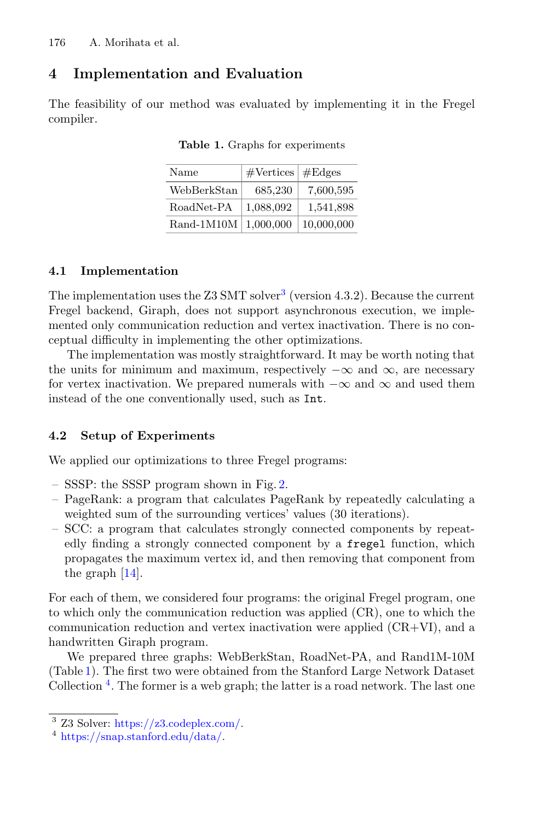# <span id="page-10-0"></span>**4 Implementation and Evaluation**

The feasibility of our method was evaluated by implementing it in the Fregel compiler.

| Name        | #Vertices | #Edges     |
|-------------|-----------|------------|
| WebBerkStan | 685,230   | 7,600,595  |
| RoadNet-PA  | 1,088,092 | 1,541,898  |
| Rand-1M10M  | 1,000,000 | 10,000,000 |

<span id="page-10-2"></span>**Table 1.** Graphs for experiments

#### **4.1 Implementation**

The implementation uses the Z[3](#page-10-1) SMT solver<sup>3</sup> (version 4.3.2). Because the current Fregel backend, Giraph, does not support asynchronous execution, we implemented only communication reduction and vertex inactivation. There is no conceptual difficulty in implementing the other optimizations.

The implementation was mostly straightforward. It may be worth noting that the units for minimum and maximum, respectively  $-\infty$  and  $\infty$ , are necessary for vertex inactivation. We prepared numerals with  $-\infty$  and  $\infty$  and used them instead of the one conventionally used, such as Int.

### **4.2 Setup of Experiments**

We applied our optimizations to three Fregel programs:

- SSSP: the SSSP program shown in Fig. [2.](#page-3-1)
- PageRank: a program that calculates PageRank by repeatedly calculating a weighted sum of the surrounding vertices' values (30 iterations).
- SCC: a program that calculates strongly connected components by repeatedly finding a strongly connected component by a fregel function, which propagates the maximum vertex id, and then removing that component from the graph [\[14](#page-14-8)].

For each of them, we considered four programs: the original Fregel program, one to which only the communication reduction was applied (CR), one to which the communication reduction and vertex inactivation were applied  $(CR+VI)$ , and a handwritten Giraph program.

We prepared three graphs: WebBerkStan, RoadNet-PA, and Rand1M-10M (Table [1\)](#page-10-2). The first two were obtained from the Stanford Large Network Dataset Collection  $4$ . The former is a web graph; the latter is a road network. The last one

 $3$  Z3 Solver: [https://z3.codeplex.com/.](https://z3.codeplex.com/)

<span id="page-10-3"></span><span id="page-10-1"></span><sup>4</sup> [https://snap.stanford.edu/data/.](https://snap.stanford.edu/data/)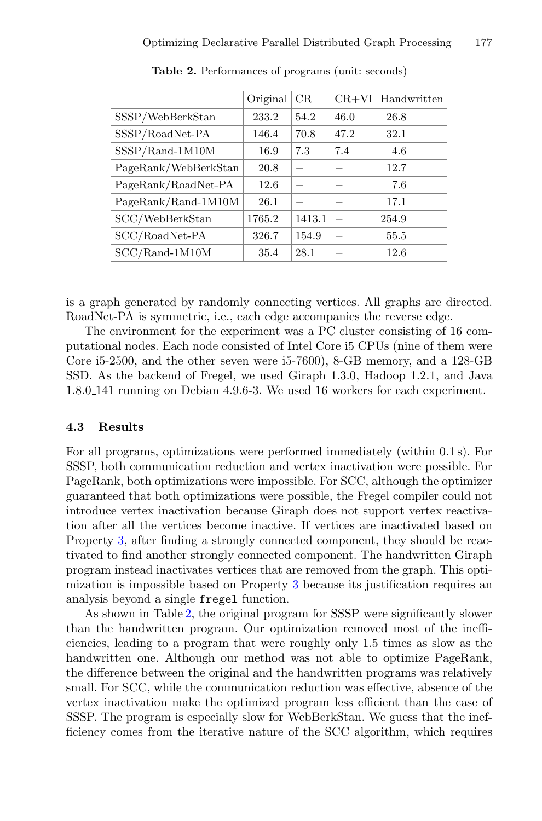|                      | Original | CR     | $CR+VI$ | Handwritten |
|----------------------|----------|--------|---------|-------------|
| SSSP/WebBerkStan     | 233.2    | 54.2   | 46.0    | 26.8        |
| SSSP/RoadNet-PA      | 146.4    | 70.8   | 47.2    | 32.1        |
| SSSP/Rand-1M10M      | 16.9     | 7.3    | 7.4     | 4.6         |
| PageRank/WebBerkStan | 20.8     |        |         | 12.7        |
| PageRank/RoadNet-PA  | 12.6     |        |         | 7.6         |
| PageRank/Rand-1M10M  | 26.1     |        |         | 17.1        |
| SCC/WebBerkStan      | 1765.2   | 1413.1 |         | 254.9       |
| SCC/RoadNet-PA       | 326.7    | 154.9  |         | 55.5        |
| $SCC/Rand-1M10M$     | 35.4     | 28.1   |         | 12.6        |

<span id="page-11-0"></span>**Table 2.** Performances of programs (unit: seconds)

is a graph generated by randomly connecting vertices. All graphs are directed. RoadNet-PA is symmetric, i.e., each edge accompanies the reverse edge.

The environment for the experiment was a PC cluster consisting of 16 computational nodes. Each node consisted of Intel Core i5 CPUs (nine of them were Core i5-2500, and the other seven were i5-7600), 8-GB memory, and a 128-GB SSD. As the backend of Fregel, we used Giraph 1.3.0, Hadoop 1.2.1, and Java 1.8.0 141 running on Debian 4.9.6-3. We used 16 workers for each experiment.

#### **4.3 Results**

For all programs, optimizations were performed immediately (within 0.1 s). For SSSP, both communication reduction and vertex inactivation were possible. For PageRank, both optimizations were impossible. For SCC, although the optimizer guaranteed that both optimizations were possible, the Fregel compiler could not introduce vertex inactivation because Giraph does not support vertex reactivation after all the vertices become inactive. If vertices are inactivated based on Property [3,](#page-6-2) after finding a strongly connected component, they should be reactivated to find another strongly connected component. The handwritten Giraph program instead inactivates vertices that are removed from the graph. This optimization is impossible based on Property [3](#page-6-2) because its justification requires an analysis beyond a single fregel function.

As shown in Table [2,](#page-11-0) the original program for SSSP were significantly slower than the handwritten program. Our optimization removed most of the inefficiencies, leading to a program that were roughly only 1.5 times as slow as the handwritten one. Although our method was not able to optimize PageRank, the difference between the original and the handwritten programs was relatively small. For SCC, while the communication reduction was effective, absence of the vertex inactivation make the optimized program less efficient than the case of SSSP. The program is especially slow for WebBerkStan. We guess that the inefficiency comes from the iterative nature of the SCC algorithm, which requires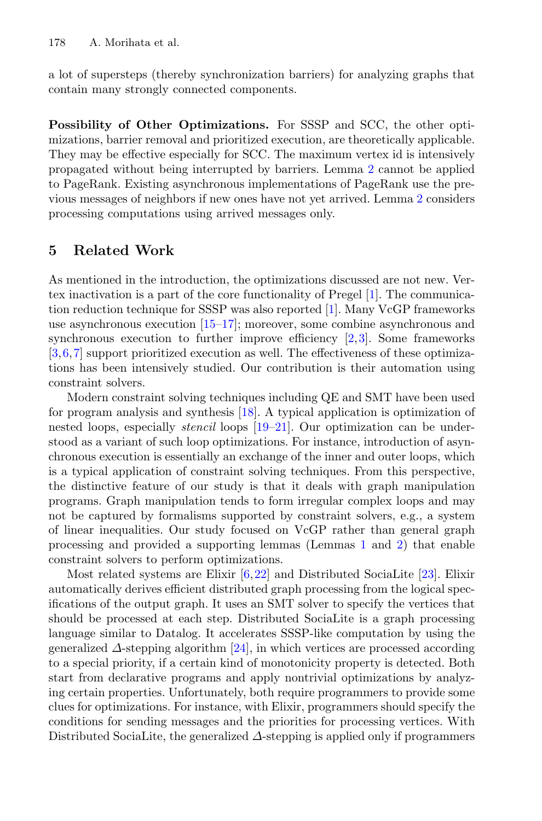a lot of supersteps (thereby synchronization barriers) for analyzing graphs that contain many strongly connected components.

**Possibility of Other Optimizations.** For SSSP and SCC, the other optimizations, barrier removal and prioritized execution, are theoretically applicable. They may be effective especially for SCC. The maximum vertex id is intensively propagated without being interrupted by barriers. Lemma [2](#page-8-1) cannot be applied to PageRank. Existing asynchronous implementations of PageRank use the previous messages of neighbors if new ones have not yet arrived. Lemma [2](#page-8-1) considers processing computations using arrived messages only.

### **5 Related Work**

As mentioned in the introduction, the optimizations discussed are not new. Vertex inactivation is a part of the core functionality of Pregel [\[1](#page-13-0)]. The communication reduction technique for SSSP was also reported [\[1](#page-13-0)]. Many VcGP frameworks use asynchronous execution [\[15](#page-14-9)[–17\]](#page-14-10); moreover, some combine asynchronous and synchronous execution to further improve efficiency  $[2,3]$  $[2,3]$  $[2,3]$ . Some frameworks [\[3](#page-13-3),[6,](#page-14-7)[7\]](#page-14-0) support prioritized execution as well. The effectiveness of these optimizations has been intensively studied. Our contribution is their automation using constraint solvers.

Modern constraint solving techniques including QE and SMT have been used for program analysis and synthesis [\[18\]](#page-14-11). A typical application is optimization of nested loops, especially *stencil* loops [\[19](#page-14-12)[–21](#page-15-0)]. Our optimization can be understood as a variant of such loop optimizations. For instance, introduction of asynchronous execution is essentially an exchange of the inner and outer loops, which is a typical application of constraint solving techniques. From this perspective, the distinctive feature of our study is that it deals with graph manipulation programs. Graph manipulation tends to form irregular complex loops and may not be captured by formalisms supported by constraint solvers, e.g., a system of linear inequalities. Our study focused on VcGP rather than general graph processing and provided a supporting lemmas (Lemmas [1](#page-7-1) and [2\)](#page-8-1) that enable constraint solvers to perform optimizations.

Most related systems are Elixir [\[6](#page-14-7)[,22](#page-15-1)] and Distributed SociaLite [\[23\]](#page-15-2). Elixir automatically derives efficient distributed graph processing from the logical specifications of the output graph. It uses an SMT solver to specify the vertices that should be processed at each step. Distributed SociaLite is a graph processing language similar to Datalog. It accelerates SSSP-like computation by using the generalized  $\Delta$ -stepping algorithm [\[24](#page-15-3)], in which vertices are processed according to a special priority, if a certain kind of monotonicity property is detected. Both start from declarative programs and apply nontrivial optimizations by analyzing certain properties. Unfortunately, both require programmers to provide some clues for optimizations. For instance, with Elixir, programmers should specify the conditions for sending messages and the priorities for processing vertices. With Distributed SociaLite, the generalized  $\Delta$ -stepping is applied only if programmers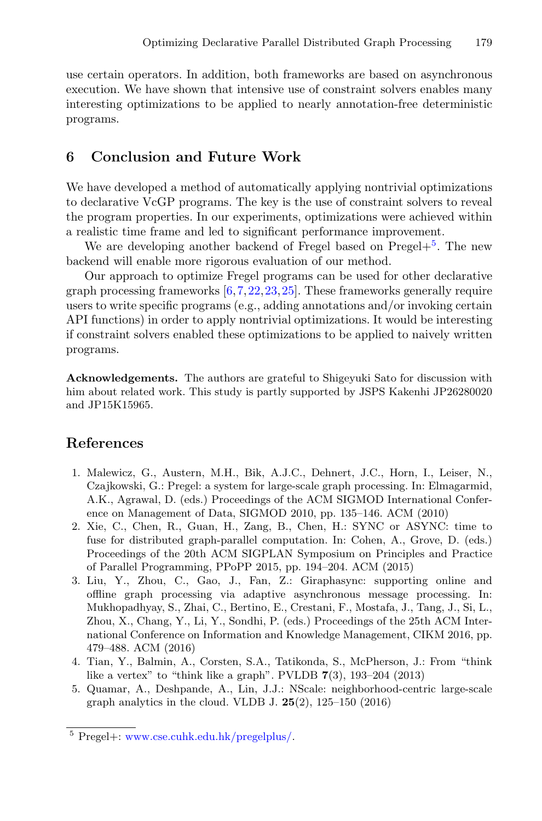use certain operators. In addition, both frameworks are based on asynchronous execution. We have shown that intensive use of constraint solvers enables many interesting optimizations to be applied to nearly annotation-free deterministic programs.

## **6 Conclusion and Future Work**

We have developed a method of automatically applying nontrivial optimizations to declarative VcGP programs. The key is the use of constraint solvers to reveal the program properties. In our experiments, optimizations were achieved within a realistic time frame and led to significant performance improvement.

We are developing another backend of Fregel based on  $Pregel+<sup>5</sup>$  $Pregel+<sup>5</sup>$  $Pregel+<sup>5</sup>$ . The new backend will enable more rigorous evaluation of our method.

Our approach to optimize Fregel programs can be used for other declarative graph processing frameworks [\[6](#page-14-7)[,7](#page-14-0)[,22](#page-15-1),[23,](#page-15-2)[25\]](#page-15-4). These frameworks generally require users to write specific programs (e.g., adding annotations and/or invoking certain API functions) in order to apply nontrivial optimizations. It would be interesting if constraint solvers enabled these optimizations to be applied to naively written programs.

**Acknowledgements.** The authors are grateful to Shigeyuki Sato for discussion with him about related work. This study is partly supported by JSPS Kakenhi JP26280020 and JP15K15965.

# **References**

- <span id="page-13-0"></span>1. Malewicz, G., Austern, M.H., Bik, A.J.C., Dehnert, J.C., Horn, I., Leiser, N., Czajkowski, G.: Pregel: a system for large-scale graph processing. In: Elmagarmid, A.K., Agrawal, D. (eds.) Proceedings of the ACM SIGMOD International Conference on Management of Data, SIGMOD 2010, pp. 135–146. ACM (2010)
- <span id="page-13-4"></span>2. Xie, C., Chen, R., Guan, H., Zang, B., Chen, H.: SYNC or ASYNC: time to fuse for distributed graph-parallel computation. In: Cohen, A., Grove, D. (eds.) Proceedings of the 20th ACM SIGPLAN Symposium on Principles and Practice of Parallel Programming, PPoPP 2015, pp. 194–204. ACM (2015)
- <span id="page-13-3"></span>3. Liu, Y., Zhou, C., Gao, J., Fan, Z.: Giraphasync: supporting online and offline graph processing via adaptive asynchronous message processing. In: Mukhopadhyay, S., Zhai, C., Bertino, E., Crestani, F., Mostafa, J., Tang, J., Si, L., Zhou, X., Chang, Y., Li, Y., Sondhi, P. (eds.) Proceedings of the 25th ACM International Conference on Information and Knowledge Management, CIKM 2016, pp. 479–488. ACM (2016)
- <span id="page-13-1"></span>4. Tian, Y., Balmin, A., Corsten, S.A., Tatikonda, S., McPherson, J.: From "think like a vertex" to "think like a graph". PVLDB **7**(3), 193–204 (2013)
- <span id="page-13-2"></span>5. Quamar, A., Deshpande, A., Lin, J.J.: NScale: neighborhood-centric large-scale graph analytics in the cloud. VLDB J. **25**(2), 125–150 (2016)

<span id="page-13-5"></span> $5$  Pregel $+$ : [www.cse.cuhk.edu.hk/pregelplus/.](www.cse.cuhk.edu.hk/pregelplus/)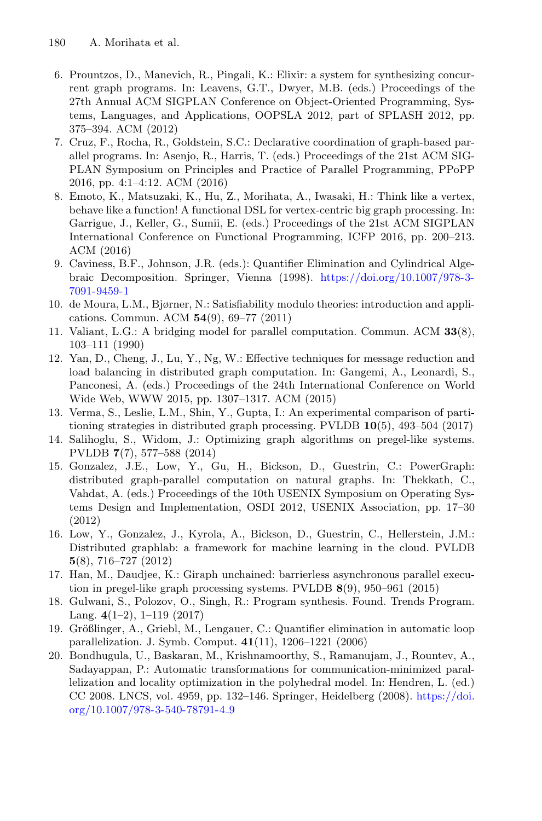- <span id="page-14-7"></span>6. Prountzos, D., Manevich, R., Pingali, K.: Elixir: a system for synthesizing concurrent graph programs. In: Leavens, G.T., Dwyer, M.B. (eds.) Proceedings of the 27th Annual ACM SIGPLAN Conference on Object-Oriented Programming, Systems, Languages, and Applications, OOPSLA 2012, part of SPLASH 2012, pp. 375–394. ACM (2012)
- <span id="page-14-0"></span>7. Cruz, F., Rocha, R., Goldstein, S.C.: Declarative coordination of graph-based parallel programs. In: Asenjo, R., Harris, T. (eds.) Proceedings of the 21st ACM SIG-PLAN Symposium on Principles and Practice of Parallel Programming, PPoPP 2016, pp. 4:1–4:12. ACM (2016)
- <span id="page-14-1"></span>8. Emoto, K., Matsuzaki, K., Hu, Z., Morihata, A., Iwasaki, H.: Think like a vertex, behave like a function! A functional DSL for vertex-centric big graph processing. In: Garrigue, J., Keller, G., Sumii, E. (eds.) Proceedings of the 21st ACM SIGPLAN International Conference on Functional Programming, ICFP 2016, pp. 200–213. ACM (2016)
- <span id="page-14-2"></span>9. Caviness, B.F., Johnson, J.R. (eds.): Quantifier Elimination and Cylindrical Algebraic Decomposition. Springer, Vienna (1998). [https://doi.org/10.1007/978-3-](https://doi.org/10.1007/978-3-7091-9459-1) [7091-9459-1](https://doi.org/10.1007/978-3-7091-9459-1)
- <span id="page-14-3"></span>10. de Moura, L.M., Bjørner, N.: Satisfiability modulo theories: introduction and applications. Commun. ACM **54**(9), 69–77 (2011)
- <span id="page-14-4"></span>11. Valiant, L.G.: A bridging model for parallel computation. Commun. ACM **33**(8), 103–111 (1990)
- <span id="page-14-5"></span>12. Yan, D., Cheng, J., Lu, Y., Ng, W.: Effective techniques for message reduction and load balancing in distributed graph computation. In: Gangemi, A., Leonardi, S., Panconesi, A. (eds.) Proceedings of the 24th International Conference on World Wide Web, WWW 2015, pp. 1307–1317. ACM (2015)
- <span id="page-14-6"></span>13. Verma, S., Leslie, L.M., Shin, Y., Gupta, I.: An experimental comparison of partitioning strategies in distributed graph processing. PVLDB **10**(5), 493–504 (2017)
- <span id="page-14-8"></span>14. Salihoglu, S., Widom, J.: Optimizing graph algorithms on pregel-like systems. PVLDB **7**(7), 577–588 (2014)
- <span id="page-14-9"></span>15. Gonzalez, J.E., Low, Y., Gu, H., Bickson, D., Guestrin, C.: PowerGraph: distributed graph-parallel computation on natural graphs. In: Thekkath, C., Vahdat, A. (eds.) Proceedings of the 10th USENIX Symposium on Operating Systems Design and Implementation, OSDI 2012, USENIX Association, pp. 17–30 (2012)
- 16. Low, Y., Gonzalez, J., Kyrola, A., Bickson, D., Guestrin, C., Hellerstein, J.M.: Distributed graphlab: a framework for machine learning in the cloud. PVLDB **5**(8), 716–727 (2012)
- <span id="page-14-10"></span>17. Han, M., Daudjee, K.: Giraph unchained: barrierless asynchronous parallel execution in pregel-like graph processing systems. PVLDB **8**(9), 950–961 (2015)
- <span id="page-14-11"></span>18. Gulwani, S., Polozov, O., Singh, R.: Program synthesis. Found. Trends Program. Lang. **4**(1–2), 1–119 (2017)
- <span id="page-14-12"></span>19. Größlinger, A., Griebl, M., Lengauer, C.: Quantifier elimination in automatic loop parallelization. J. Symb. Comput. **41**(11), 1206–1221 (2006)
- 20. Bondhugula, U., Baskaran, M., Krishnamoorthy, S., Ramanujam, J., Rountev, A., Sadayappan, P.: Automatic transformations for communication-minimized parallelization and locality optimization in the polyhedral model. In: Hendren, L. (ed.) CC 2008. LNCS, vol. 4959, pp. 132–146. Springer, Heidelberg (2008). [https://doi.](https://doi.org/10.1007/978-3-540-78791-4_9) [org/10.1007/978-3-540-78791-4](https://doi.org/10.1007/978-3-540-78791-4_9) 9